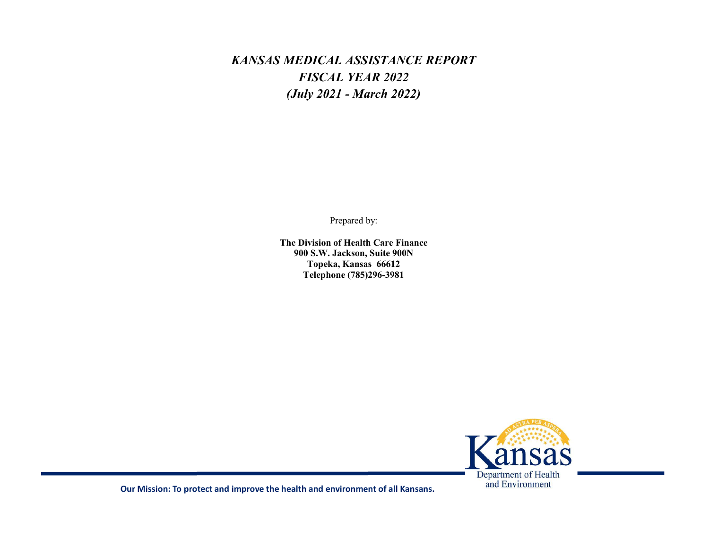# KANSAS MEDICAL ASSISTANCE REPORT FISCAL YEAR 2022 (July 2021 - March 2022) MEDICAL ASSISTANCE REPORT<br>
FISCAL YEAR 2022<br>
(July 2021 - March 2022)<br>
<br>
Prepared by:<br>
<br>
Prepared by:<br>
<br>
The Division of Health Care Finance<br>
900 S.W. Jackson, Suite 900N<br>
Topeka, Kansas 66612<br>
<br>
Telephone (785)296-3981 DICAL ASSISTANCE REPORT<br>ISCAL YEAR 2022<br>y 2021 - March 2022)<br>Prepared by:<br>Prepared by:<br>wision of Health Care Finance<br>S.W. Jackson, Suite 900N<br>Topeka, Kansas 66612<br>Telephone (785)296-3981

Prepared by:

900 S.W. Jackson, Suite 900N Telephone (785)296-3981



Our Mission: To protect and improve the health and environment of all Kansans.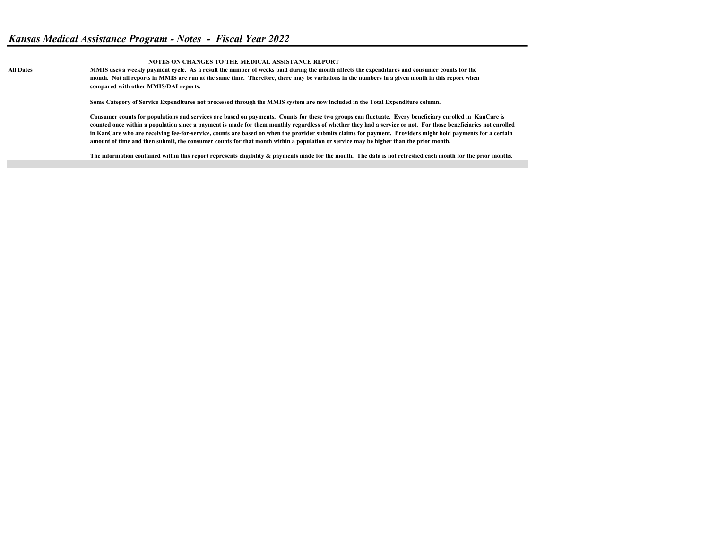#### NOTES ON CHANGES TO THE MEDICAL ASSISTANCE REPORT

All Dates MMIS uses a weekly payment cycle. As a result the number of weeks paid during the month affects the expenditures and consumer counts for the month. Not all reports in MMIS are run at the same time. Therefore, there may be variations in the numbers in a given month in this report when compared with other MMIS/DAI reports.

Some Category of Service Expenditures not processed through the MMIS system are now included in the Total Expenditure column.

Consumer counts for populations and services are based on payments. Counts for these two groups can fluctuate. Every beneficiary enrolled in KanCare is counted once within a population since a payment is made for them monthly regardless of whether they had a service or not. For those beneficiaries not enrolled in KanCare who are receiving fee-for-service, counts are based on when the provider submits claims for payment. Providers might hold payments for a certain amount of time and then submit, the consumer counts for that month within a population or service may be higher than the prior month.

The information contained within this report represents eligibility & payments made for the month. The data is not refreshed each month for the prior months.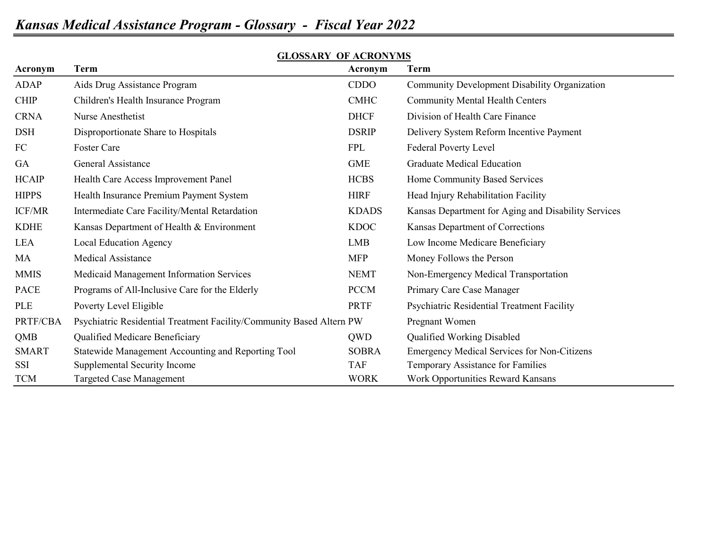| Acronym       | <b>Term</b>                                                          | Acronym      | <b>Term</b>                                         |
|---------------|----------------------------------------------------------------------|--------------|-----------------------------------------------------|
| ADAP          | Aids Drug Assistance Program                                         | CDDO         | Community Development Disability Organization       |
| <b>CHIP</b>   | Children's Health Insurance Program                                  | <b>CMHC</b>  | <b>Community Mental Health Centers</b>              |
| <b>CRNA</b>   | Nurse Anesthetist                                                    | <b>DHCF</b>  | Division of Health Care Finance                     |
| <b>DSH</b>    | Disproportionate Share to Hospitals                                  | <b>DSRIP</b> | Delivery System Reform Incentive Payment            |
| FC            | Foster Care                                                          | <b>FPL</b>   | Federal Poverty Level                               |
| GA            | General Assistance                                                   | <b>GME</b>   | <b>Graduate Medical Education</b>                   |
| <b>HCAIP</b>  | Health Care Access Improvement Panel                                 | <b>HCBS</b>  | Home Community Based Services                       |
| <b>HIPPS</b>  | Health Insurance Premium Payment System                              | <b>HIRF</b>  | Head Injury Rehabilitation Facility                 |
| <b>ICF/MR</b> | Intermediate Care Facility/Mental Retardation                        | <b>KDADS</b> | Kansas Department for Aging and Disability Services |
| <b>KDHE</b>   | Kansas Department of Health & Environment                            | <b>KDOC</b>  | Kansas Department of Corrections                    |
| <b>LEA</b>    | Local Education Agency                                               | LMB          | Low Income Medicare Beneficiary                     |
| MA            | <b>Medical Assistance</b>                                            | <b>MFP</b>   | Money Follows the Person                            |
| <b>MMIS</b>   | Medicaid Management Information Services                             | <b>NEMT</b>  | Non-Emergency Medical Transportation                |
| <b>PACE</b>   | Programs of All-Inclusive Care for the Elderly                       | <b>PCCM</b>  | Primary Care Case Manager                           |
| PLE           | Poverty Level Eligible                                               | <b>PRTF</b>  | Psychiatric Residential Treatment Facility          |
| PRTF/CBA      | Psychiatric Residential Treatment Facility/Community Based Altern PW |              | Pregnant Women                                      |
| QMB           | Qualified Medicare Beneficiary                                       | QWD          | Qualified Working Disabled                          |
| <b>SMART</b>  | Statewide Management Accounting and Reporting Tool                   | <b>SOBRA</b> | <b>Emergency Medical Services for Non-Citizens</b>  |
| SSI           | Supplemental Security Income                                         | <b>TAF</b>   | Temporary Assistance for Families                   |
| <b>TCM</b>    | <b>Targeted Case Management</b>                                      | <b>WORK</b>  | <b>Work Opportunities Reward Kansans</b>            |

# GLOSSARY OF ACRONYMS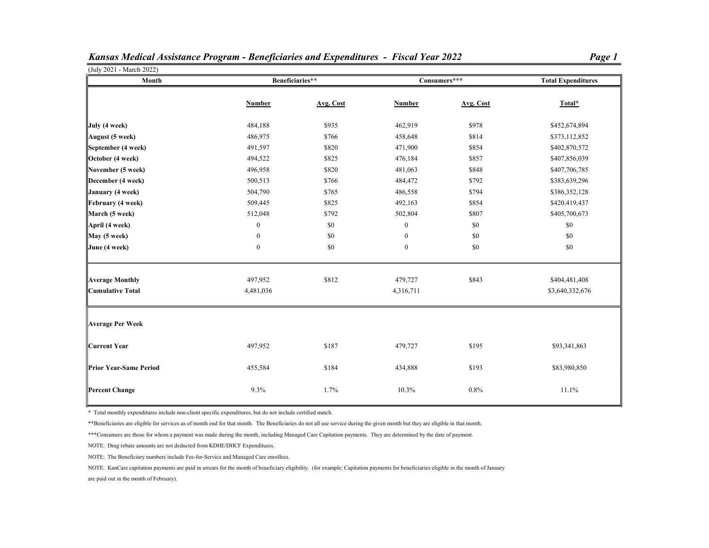| (July 2021 - March 2022)<br>Month |                  | Beneficiaries** |                  | Consumers*** | <b>Total Expenditures</b> |
|-----------------------------------|------------------|-----------------|------------------|--------------|---------------------------|
|                                   |                  |                 |                  |              |                           |
|                                   | <b>Number</b>    | Avg. Cost       | <b>Number</b>    | Avg. Cost    | Total*                    |
| July (4 week)                     | 484,188          | \$935           | 462,919          | \$978        | \$452,674,894             |
| August (5 week)                   | 486,975          | \$766           | 458,648          | \$814        | \$373,112,852             |
| September (4 week)                | 491,597          | \$820           | 471,900          | \$854        | \$402,870,572             |
| October (4 week)                  | 494,522          | \$825           | 476,184          | \$857        | \$407,856,039             |
| November (5 week)                 | 496,958          | \$820           | 481,063          | \$848        | \$407,706,785             |
| December (4 week)                 | 500,513          | \$766           | 484,472          | \$792        | \$383,639,296             |
| January (4 week)                  | 504,790          | \$765           | 486,558          | \$794        | \$386,352,128             |
| February (4 week)                 | 509,445          | \$825           | 492,163          | \$854        | \$420,419,437             |
| March (5 week)                    | 512,048          | \$792           | 502,804          | \$807        | \$405,700,673             |
| April (4 week)                    | $\bf{0}$         | \$0             | $\boldsymbol{0}$ | \$0          | \$0                       |
| May (5 week)                      | $\boldsymbol{0}$ | \$0             | $\boldsymbol{0}$ | \$0          | \$0                       |
| June (4 week)                     | $\boldsymbol{0}$ | \$0             | $\boldsymbol{0}$ | \$0          | \$0                       |
| Average Monthly                   | 497,952          | \$812           | 479,727          | \$843        | \$404,481,408             |
| Cumulative Total                  | 4,481,036        |                 | 4,316,711        |              | \$3,640,332,676           |
| <b>Average Per Week</b>           |                  |                 |                  |              |                           |
| <b>Current Year</b>               | 497,952          | \$187           | 479,727          | \$195        | \$93,341,863              |
| <b>Prior Year-Same Period</b>     | 455,584          | \$184           | 434,888          | \$193        | \$83,980,850              |
| <b>Percent Change</b>             | 9.3%             | 1.7%            | 10.3%            | 0.8%         | 11.1%                     |

Kansas Medical Assistance Program - Beneficiaries and Expenditures - Fiscal Year 2022

\* Total monthly expenditures include non-client specific expenditures, but do not include certified match.

\*\*Beneficiaries are eligible for services as of month end for that month. The Beneficiaries do not all use service during the given month but they are eligible in that month.

\*\*\*Consumers are those for whom a payment was made during the month, including Managed Care Capitation payments. They are determined by the date of payment.

NOTE: Drug rebate amounts are not deducted from KDHE/DHCF Expenditures.

NOTE: The Beneficiary numbers include Fee-for-Service and Managed Care enrollees.

NOTE: KanCare capitation payments are paid in arrears for the month of beneficiary eligibility. (for example: Capitation payments for beneficiaries eligible in the month of January

are paid out in the month of February).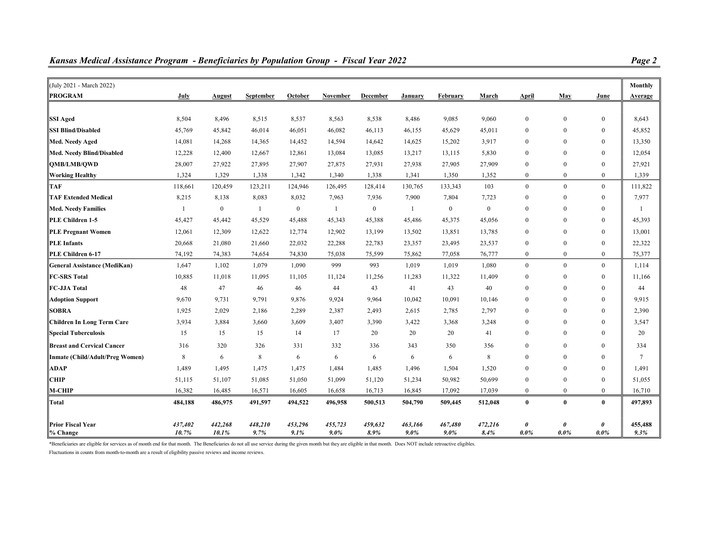| (July 2021 - March 2022)          |         |          |           |          |              |          |              |              |              |                  |                  |              | <b>Monthly</b> |
|-----------------------------------|---------|----------|-----------|----------|--------------|----------|--------------|--------------|--------------|------------------|------------------|--------------|----------------|
| <b>PROGRAM</b>                    | July    | August   | September | October  | November     | December | January      | February     | March        | April            | May              | June         | Average        |
|                                   |         |          |           |          |              |          |              |              |              |                  |                  |              |                |
| SSI Aged                          | 8,504   | 8,496    | 8,515     | 8,537    | 8,563        | 8,538    | 8,486        | 9,085        | 9,060        | $\mathbf{0}$     | $\mathbf{0}$     | $\mathbf{0}$ | 8,643          |
| <b>SSI Blind/Disabled</b>         | 45,769  | 45,842   | 46,014    | 46,051   | 46,082       | 46,113   | 46,155       | 45,629       | 45,011       | $\bf{0}$         | $\mathbf{0}$     | $\mathbf{0}$ | 45,852         |
| Med. Needy Aged                   | 14,081  | 14,268   | 14,365    | 14,452   | 14,594       | 14,642   | 14,625       | 15,202       | 3,917        | $\bf{0}$         | $\boldsymbol{0}$ | $\bf{0}$     | 13,350         |
| Med. Needy Blind/Disabled         | 12,228  | 12,400   | 12,667    | 12,861   | 13,084       | 13,085   | 13,217       | 13,115       | 5,830        | $\mathbf{0}$     | $\mathbf{0}$     | $\mathbf{0}$ | 12,054         |
|                                   |         |          |           |          |              |          |              |              |              |                  |                  |              |                |
| <b>OMB/LMB/OWD</b>                | 28,007  | 27,922   | 27,895    | 27,907   | 27,875       | 27,931   | 27,938       | 27,905       | 27,909       | $\boldsymbol{0}$ | $\mathbf{0}$     | $\bf{0}$     | 27,921         |
| Working Healthy                   | 1,324   | 1,329    | 1,338     | 1,342    | 1,340        | 1,338    | 1,341        | 1,350        | 1,352        | $\mathbf{0}$     | $\mathbf{0}$     | $\theta$     | 1,339          |
| <b>TAF</b>                        | 118,661 | 120,459  | 123,211   | 124,946  | 126,495      | 128,414  | 130,765      | 133,343      | 103          | $\boldsymbol{0}$ | $\mathbf{0}$     | $\mathbf{0}$ | 111,822        |
| <b>TAF Extended Medical</b>       | 8,215   | 8,138    | 8,083     | 8,032    | 7,963        | 7,936    | 7,900        | 7,804        | 7,723        | $\mathbf{0}$     | $\mathbf{0}$     | $\mathbf{0}$ | 7,977          |
| Med. Needy Families               | 1       | $\bf{0}$ | 1         | $\bf{0}$ | $\mathbf{1}$ | $\bf{0}$ | $\mathbf{1}$ | $\mathbf{0}$ | $\mathbf{0}$ | $\boldsymbol{0}$ | $\mathbf{0}$     | $\theta$     | $\mathbf{1}$   |
| PLE Children 1-5                  | 45,427  | 45,442   | 45,529    | 45,488   | 45,343       | 45,388   | 45,486       | 45,375       | 45,056       | $\mathbf{0}$     | $\mathbf{0}$     | $\mathbf{0}$ | 45,393         |
| <b>PLE Pregnant Women</b>         | 12,061  | 12,309   | 12,622    | 12,774   | 12,902       | 13,199   | 13,502       | 13,851       | 13,785       | $\bf{0}$         | $\mathbf{0}$     | $\bf{0}$     | 13,001         |
| <b>PLE</b> Infants                | 20,668  | 21,080   | 21,660    | 22,032   | 22,288       | 22,783   | 23,357       | 23,495       | 23,537       | $\mathbf{0}$     | $\mathbf{0}$     | $\mathbf{0}$ | 22,322         |
| PLE Children 6-17                 | 74,192  | 74,383   | 74,654    | 74,830   | 75,038       | 75,599   | 75,862       | 77,058       | 76,777       | $\mathbf{0}$     | $\mathbf{0}$     | $\mathbf{0}$ | 75,377         |
| General Assistance (MediKan)      | 1,647   | 1,102    | 1,079     | 1,090    | 999          | 993      | 1,019        | 1,019        | 1,080        | $\mathbf{0}$     | $\mathbf{0}$     | $\mathbf{0}$ | 1,114          |
| <b>FC-SRS Total</b>               | 10,885  | 11,018   | 11,095    | 11,105   | 11,124       | 11,256   | 11,283       | 11,322       | 11,409       | $\bf{0}$         | $\mathbf{0}$     | $\mathbf{0}$ | 11,166         |
| FC-JJA Total                      | 48      | 47       | 46        | 46       | 44           | 43       | 41           | 43           | 40           | $\bf{0}$         | $\bf{0}$         | $\bf{0}$     | 44             |
| <b>Adoption Support</b>           | 9,670   | 9,731    | 9,791     | 9,876    | 9,924        | 9,964    | 10,042       | 10,091       | 10,146       | $\mathbf{0}$     | $\mathbf{0}$     | $\mathbf{0}$ | 9,915          |
| <b>SOBRA</b>                      | 1,925   | 2,029    | 2,186     | 2,289    | 2,387        | 2,493    | 2,615        | 2,785        | 2,797        | $\mathbf{0}$     | $\mathbf{0}$     | $\mathbf{0}$ | 2,390          |
| Children In Long Term Care        | 3,934   | 3,884    | 3,660     | 3,609    | 3,407        | 3,390    | 3,422        | 3,368        | 3,248        | $\mathbf{0}$     | $\mathbf{0}$     | $\mathbf{0}$ | 3,547          |
| Special Tuberculosis              | 15      | 15       | 15        | 14       | 17           | 20       | 20           | 20           | 41           | $\bf{0}$         | $\mathbf{0}$     | $\mathbf{0}$ | 20             |
| <b>Breast and Cervical Cancer</b> | 316     | 320      | 326       | 331      | 332          | 336      | 343          | 350          | 356          | $\bf{0}$         | $\boldsymbol{0}$ | $\mathbf{0}$ | 334            |
| Inmate (Child/Adult/Preg Women)   | 8       | 6        | 8         | 6        | 6            | 6        | 6            | 6            | 8            | $\mathbf{0}$     | $\theta$         | $\theta$     | $\tau$         |
| ADAP                              | 1,489   | 1,495    | 1,475     | 1,475    | 1,484        | 1,485    | 1,496        | 1,504        | 1,520        | $\mathbf{0}$     | $\mathbf{0}$     | $\mathbf{0}$ | 1,491          |
| CHIP                              | 51,115  | 51,107   | 51,085    | 51,050   | 51,099       | 51,120   | 51,234       | 50,982       | 50,699       | $\mathbf{0}$     | $\mathbf{0}$     | $\mathbf{0}$ | 51,055         |
| M-CHIP                            | 16,382  | 16,485   | 16,571    | 16,605   | 16,658       | 16,713   | 16,845       | 17,092       | 17,039       | $\mathbf{0}$     | $\mathbf{0}$     | $\mathbf{0}$ | 16,710         |
| Total                             | 484,188 | 486,975  | 491,597   | 494,522  | 496,958      | 500,513  | 504,790      | 509,445      | 512,048      | $\bf{0}$         | $\bf{0}$         | $\bf{0}$     | 497,893        |
| <b>Prior Fiscal Year</b>          | 437,402 | 442,268  | 448,210   | 453,296  | 455,723      | 459,632  | 463,166      | 467,480      | 472,216      | 0                | $\theta$         | 0            | 455,488        |
| % Change                          | 10.7%   | 10.1%    | 9.7%      | 9.1%     | $9.0\%$      | 8.9%     | $9.0\%$      | $9.0\%$      | 8.4%         | $0.0\%$          | $0.0\%$          | $0.0\%$      | 9.3%           |

Kansas Medical Assistance Program - Beneficiaries by Population Group - Fiscal Year 2022

\*Beneficiaries are eligible for services as of month end for that month. The Beneficiaries do not all use service during the given month but they are eligible in that month. Does NOT include retroactive eligibles.

Fluctuations in counts from month-to-month are a result of eligibility passive reviews and income reviews.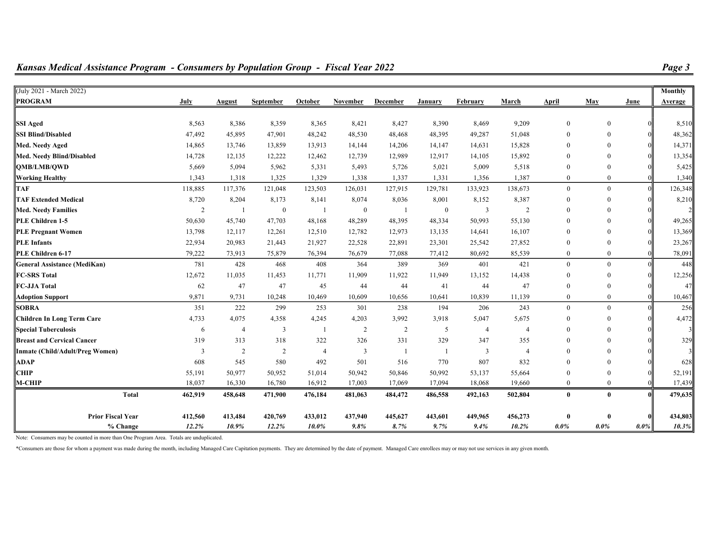| <b>PROGRAM</b>                    | July    | <b>August</b>  | September      | October | <b>November</b> | December | January  | February       | March          | April        | May            | June | Average |
|-----------------------------------|---------|----------------|----------------|---------|-----------------|----------|----------|----------------|----------------|--------------|----------------|------|---------|
|                                   |         |                |                |         |                 |          |          |                |                |              |                |      |         |
| <b>SSI Aged</b>                   | 8,563   | 8,386          | 8,359          | 8,365   | 8,421           | 8,427    | 8,390    | 8,469          | 9,209          | $\Omega$     | $\Omega$       |      | 8,510   |
| <b>SSI Blind/Disabled</b>         | 47,492  | 45,895         | 47,901         | 48,242  | 48,530          | 48,468   | 48,395   | 49,287         | 51,048         |              |                |      | 48,362  |
| Med. Needy Aged                   | 14,865  | 13,746         | 13,859         | 13,913  | 14,144          | 14,206   | 14,147   | 14,631         | 15,828         |              |                |      | 14,371  |
| Med. Needy Blind/Disabled         | 14,728  | 12,135         | 12,222         | 12,462  | 12,739          | 12,989   | 12,917   | 14,105         | 15,892         |              |                |      | 13,354  |
| <b>QMB/LMB/QWD</b>                | 5,669   | 5,094          | 5,962          | 5,331   | 5,493           | 5,726    | 5,021    | 5,009          | 5,518          |              |                |      | 5,425   |
| <b>Working Healthy</b>            | 1,343   | 1,318          | 1,325          | 1,329   | 1,338           | 1,337    | 1,331    | 1,356          | 1,387          |              | $\theta$       |      | 1,340   |
| <b>TAF</b>                        | 118,885 | 117,376        | 121,048        | 123,503 | 126,031         | 127,915  | 129,781  | 133,923        | 138,673        | $\theta$     | $\theta$       |      | 126,348 |
| <b>TAF Extended Medical</b>       | 8,720   | 8,204          | 8,173          | 8,141   | 8,074           | 8,036    | 8,001    | 8,152          | 8,387          |              |                |      | 8,210   |
| <b>Med. Needy Families</b>        | 2       |                | $\overline{0}$ |         | $\bf{0}$        |          | $\bf{0}$ | 3              | $\overline{2}$ |              |                |      |         |
| PLE Children 1-5                  | 50,630  | 45,740         | 47,703         | 48,168  | 48,289          | 48,395   | 48,334   | 50,993         | 55,130         |              |                |      | 49,265  |
| <b>PLE Pregnant Women</b>         | 13,798  | 12,117         | 12,261         | 12,510  | 12,782          | 12,973   | 13,135   | 14,641         | 16,107         |              |                |      | 13,369  |
| <b>PLE Infants</b>                | 22,934  | 20,983         | 21,443         | 21,927  | 22,528          | 22,891   | 23,301   | 25,542         | 27,852         |              |                |      | 23,267  |
| PLE Children 6-17                 | 79,222  | 73,913         | 75,879         | 76,394  | 76,679          | 77,088   | 77,412   | 80,692         | 85,539         | $\Omega$     | $\overline{0}$ |      | 78,091  |
| General Assistance (MediKan)      | 781     | 428            | 468            | 408     | 364             | 389      | 369      | 401            | 421            | $\mathbf{0}$ | $\theta$       |      | 448     |
| <b>FC-SRS Total</b>               | 12,672  | 11,035         | 11,453         | 11,771  | 11,909          | 11,922   | 11,949   | 13,152         | 14,438         |              |                |      | 12,256  |
| <b>FC-JJA Total</b>               | 62      | 47             | 47             | 45      | 44              | 44       | 41       | 44             | 47             |              |                |      | 47      |
| <b>Adoption Support</b>           | 9,871   | 9,731          | 10,248         | 10,469  | 10,609          | 10,656   | 10,641   | 10,839         | 11,139         | $\theta$     | $\overline{0}$ |      | 10,467  |
| SOBRA                             | 351     | 222            | 299            | 253     | 301             | 238      | 194      | 206            | 243            | $\theta$     | $\theta$       |      | 256     |
| <b>Children In Long Term Care</b> | 4,733   | 4,075          | 4,358          | 4,245   | 4,203           | 3,992    | 3,918    | 5,047          | 5,675          |              |                |      | 4,472   |
| <b>Special Tuberculosis</b>       | 6       |                | 3              |         | $\overline{2}$  | 2        | 5        | $\overline{4}$ | $\overline{4}$ |              |                |      |         |
| <b>Breast and Cervical Cancer</b> | 319     | 313            | 318            | 322     | 326             | 331      | 329      | 347            | 355            |              |                |      | 329     |
| Inmate (Child/Adult/Preg Women)   | 3       | $\overline{2}$ | 2              |         | 3               |          |          | 3              |                |              |                |      |         |
| <b>ADAP</b>                       | 608     | 545            | 580            | 492     | 501             | 516      | 770      | 807            | 832            |              |                |      | 628     |
| CHIP                              | 55,191  | 50,977         | 50,952         | 51,014  | 50,942          | 50,846   | 50,992   | 53,137         | 55,664         |              |                |      | 52,191  |
| M-CHIP                            | 18,037  | 16,330         | 16,780         | 16,912  | 17,003          | 17,069   | 17,094   | 18,068         | 19,660         |              | $\theta$       |      | 17,439  |
| <b>Total</b>                      | 462,919 | 458,648        | 471,900        | 476,184 | 481,063         | 484,472  | 486,558  | 492,163        | 502,804        | $\bf{0}$     | $\mathbf{0}$   |      | 479,635 |
| <b>Prior Fiscal Year</b>          | 412.560 | 413.484        | 420,769        | 433.012 | 437,940         | 445.627  | 443.601  | 449.965        | 456,273        | $\mathbf{0}$ | $\mathbf{0}$   |      | 434,803 |

% Change 12.2% 10.9% 12.2% 10.0% 9.8% 8.7% 9.7% 9.4% 10.2% 0.0% 0.0% 0.0% 10.3%

 $\frac{1}{201}$  2021 - March 2022) **Monthly** 

## Kansas Medical Assistance Program - Consumers by Population Group - Fiscal Year 2022

Note: Consumers may be counted in more than One Program Area. Totals are unduplicated.

\*Consumers are those for whom a payment was made during the month, including Managed Care Capitation payments. They are determined by the date of payment. Managed Care enrollees may or may not use services in any given mon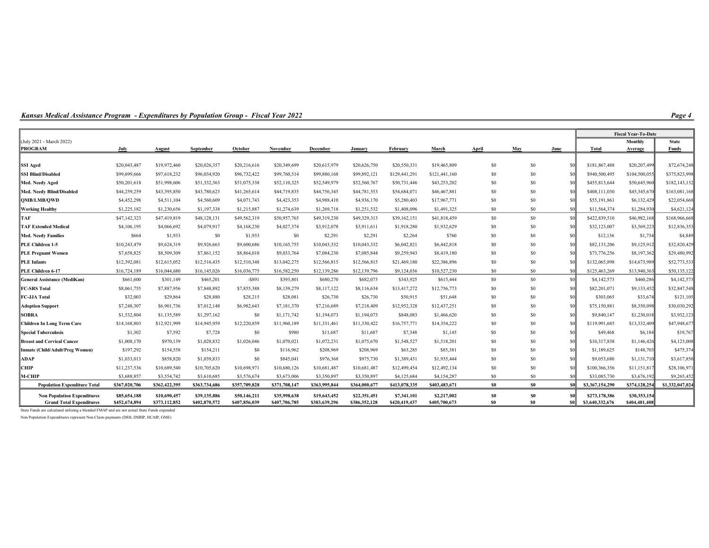Kansas Medical Assistance Program - Expenditures by Population Group - Fiscal Year 2022

|                                                                       |                               |                               |                               |                               |                               |                               |                               |                              |                              |                                  |                  |                |                                  | <b>Fiscal Year-To-Date</b>    |                 |
|-----------------------------------------------------------------------|-------------------------------|-------------------------------|-------------------------------|-------------------------------|-------------------------------|-------------------------------|-------------------------------|------------------------------|------------------------------|----------------------------------|------------------|----------------|----------------------------------|-------------------------------|-----------------|
| (July 2021 - March 2022)                                              |                               |                               |                               |                               |                               |                               |                               |                              |                              |                                  |                  |                |                                  | Monthly                       | <b>State</b>    |
| <b>PROGRAM</b>                                                        | July                          | August                        | September                     | October                       | November                      | December                      | January                       | February                     | March                        | April                            | May              | June           | Total                            | Average                       | Funds           |
| <b>SSI Aged</b>                                                       | \$20,043,487                  | \$19,972,460                  | \$20,026,357                  | \$20,216,616                  | \$20,349,699                  | \$20,615,979                  | \$20,626,750                  | \$20,550,331                 | \$19,465,809                 | \$0                              | \$0              | -80            | \$181,867,488                    | \$20,207,499                  | \$72,674,248    |
| <b>SSI Blind/Disabled</b>                                             | \$99,699,666                  | \$97,618,232                  | \$96,034,920                  | \$96,732,422                  | \$99,760,514                  | \$99,880,168                  | \$99,892,121                  | \$129,441,291                | \$121,441,160                | S <sub>0</sub>                   | \$0              | \$0            | \$940,500,495                    | \$104,500,055                 | \$375,823,998   |
| Med. Needy Aged                                                       | \$50,201,618                  | \$51,998,606                  | \$51,332,363                  | \$51,075,338                  | \$52,110,325                  | \$52,549,979                  | \$52,560,767                  | \$50,731,446                 | \$43,253,202                 | \$0                              | \$0\$            |                | \$455,813,644                    | \$50,645,960                  | \$182,143,132   |
| Med. Needy Blind/Disabled                                             | \$44,259,259                  | \$43,395,850                  | \$43,780,623                  | \$41,265,614                  | \$44,719,835                  | \$44,756,345                  | \$44,781,553                  | \$54,684,071                 | \$46,467,881                 | \$0                              | \$0              | \$0            | \$408,111,030                    | \$45,345,670                  | \$163,081,168   |
| QMB/LMB/QWD                                                           | \$4,452,298                   | \$4,511,104                   | \$4,560,609                   | \$4,071,743                   | \$4,423,353                   | \$4,988,410                   | \$4,936,170                   | \$5,280,403                  | \$17,967,771                 | \$0                              | \$0              | \$0            | \$55,191,861                     | \$6,132,429                   | \$22,054,668    |
| Working Healthy                                                       | \$1,225,182                   | \$1,230,656                   | \$1,197,338                   | \$1,215,887                   | \$1,274,639                   | \$1,269,718                   | \$1,251,532                   | \$1,408,096                  | \$1,491,325                  | \$0                              | \$0              | \$0            | \$11,564,374                     | \$1,284,930                   | \$4,621,124     |
| ГAF                                                                   | \$47,142,323                  | \$47,419,819                  | \$48,128,131                  | \$49,562,319                  | \$50,957,765                  | \$49,319,230                  | \$49,329,313                  | \$39,162,151                 | \$41,818,459                 | \$0                              | \$0              | sol            | \$422,839,510                    | \$46,982,168                  | \$168,966,668   |
| <b>FAF Extended Medical</b>                                           | \$4,106,195                   | \$4,066,692                   | \$4,079,917                   | \$4,168,230                   | \$4,027,374                   | \$3,912,078                   | \$3,911,611                   | \$1,918,280                  | \$1,932,629                  | \$0                              | \$0              | sol            | \$32,123,007                     | \$3,569,223                   | \$12,836,353    |
| Med. Needy Families                                                   | \$664                         | \$1,933                       | \$0                           | \$1,933                       | \$0                           | \$2,291                       | \$2,291                       | \$2,264                      | \$760                        | \$0                              | \$0              | \$0            | \$12,136                         | \$1,734                       | \$4,849         |
| PLE Children 1-5                                                      | \$10,243,479                  | \$9,624,319                   | \$9,926,663                   | \$9,600,686                   | \$10,165,755                  | \$10,043,332                  | \$10,043,332                  | \$6,042,821                  | \$6,442,818                  | \$0                              | \$0              | \$0            | \$82,133,206                     | \$9,125,912                   | \$32,820,429    |
| <b>PLE Pregnant Women</b>                                             | \$7,658,825                   | \$8,509,309                   | \$7,861,152                   | \$8,864,010                   | \$9,033,764                   | \$7,084,230                   | \$7,085,844                   | \$9,259,943                  | \$8,419,180                  | \$0                              | \$0              | -80            | \$73,776,256                     | \$8,197,362                   | \$29,480,992    |
| <b>PLE</b> Infants                                                    | \$12,392,081                  | \$12,615,052                  | \$12,516,435                  | \$12,510,348                  | \$13,042,275                  | \$12,566,815                  | \$12,566,815                  | \$21,469,180                 | \$22,386,896                 | \$0                              | \$0              | \$0            | \$132,065,898                    | \$14,673,989                  | \$52,773,533    |
| PLE Children 6-17                                                     | \$16,724,189                  | \$16,044,680                  | \$16,145,026                  | \$16,036,775                  | \$16,582,250                  | \$12,139,286                  | \$12,139,796                  | \$9,124,036                  | \$10,527,230                 | \$0                              | \$0\$            | sol            | \$125,463,269                    | \$13,940,363                  | \$50,135,122    |
| General Assistance (MediKan)                                          | \$661,600                     | \$301,149                     | \$465,201                     | $-$ \$891                     | \$393,801                     | \$680,270                     | \$682,073                     | \$343,925                    | \$615,444                    | \$0                              | \$0              | -sol           | \$4,142,573                      | \$460,286                     | \$4,142,573     |
| <b>FC-SRS Total</b>                                                   | \$8,061,755                   | \$7,887,956                   | \$7,848,892                   | \$7,855,388                   | \$8,139,279                   | \$8,117,122                   | \$8,116,634                   | \$13,417,272                 | \$12,756,773                 | \$0                              | \$0              | <sub>sol</sub> | \$82,201,071                     | \$9,133,452                   | \$32,847,548    |
| FC-JJA Total                                                          | \$32,003                      | \$29,864                      | \$28,880                      | \$28,215                      | \$28,081                      | \$26,730                      | \$26,730                      | \$50,915                     | \$51,648                     | \$0                              | \$0              | -sol           | \$303,065                        | \$33,674                      | \$121,105       |
| <b>Adoption Support</b>                                               | \$7,248,307                   | \$6,901,736                   | \$7,012,148                   | \$6,982,643                   | \$7,181,370                   | \$7,216,689                   | \$7,218,409                   | \$12,952,328                 | \$12,437,251                 | \$0                              | \$0              | \$0            | \$75,150,881                     | \$8,350,098                   | \$30,030,292    |
| SOBRA                                                                 | \$1,532,804                   | \$1,135,589                   | \$1,297,162                   | \$0                           | \$1,171,742                   | \$1,194,073                   | \$1,194,073                   | \$848,083                    | \$1,466,620                  | \$0                              | \$0\$            | \$0            | \$9,840,147                      | \$1,230,018                   | \$3,932,123     |
| Children In Long Term Care                                            | \$14,168,803                  | \$12,921,999                  | \$14,945,959                  | \$12,220,859                  | \$11,960,189                  | \$11,331,461                  | \$11,330,422                  | \$16,757,771                 | \$14,354,222                 | \$0                              | \$0              | \$0            | \$119,991,685                    | \$13,332,409                  | \$47,948,677    |
| <b>Special Tuberculosis</b>                                           | \$1,302                       | \$7,592                       | \$7,728                       | \$0                           | \$980                         | \$11,687                      | \$11,687                      | \$7,348                      | \$1,145                      | \$0                              | \$0              | $\mathbf{S}$   | \$49,468                         | \$6,184                       | \$19,767        |
| <b>Breast and Cervical Cancer</b>                                     | \$1,008,170                   | \$970,139                     | \$1,028,832                   | \$1,026,046                   | \$1,070,021                   | \$1,072,231                   | \$1,075,670                   | \$1,548,527                  | \$1,518,201                  | \$0                              | \$0              | <sub>so</sub>  | \$10,317,838                     | \$1,146,426                   | \$4,123,008     |
| Inmate (Child/Adult/Preg Women)                                       | \$197,292                     | \$154,558                     | \$154,211                     | \$0                           | \$116,962                     | \$208,969                     | \$208,969                     | \$63,285                     | \$85,381                     | \$0                              | \$0              | -80            | \$1,189,625                      | \$148,703                     | \$475,374       |
| ADAP                                                                  | \$1,033,013                   | \$858,820                     | \$1,039,833                   | \$0                           | \$845,041                     | \$976,368                     | \$975,730                     | \$1,389,431                  | \$1,935,444                  | \$0                              | \$0\$            | \$0            | \$9,053,680                      | \$1,131,710                   | \$3,617,850     |
| CHIP                                                                  | \$11,237,536                  | \$10,689,540                  | \$10,705,620                  | \$10,698,971                  | \$10,680,126                  | \$10,681,487                  | \$10,681,487                  | \$12,499,454                 | \$12,492,134                 | \$0                              | \$0              | \$0            | \$100,366,356                    | \$11,151,817                  | \$28,106,971    |
| <b>M-CHIP</b>                                                         | \$3,688,857                   | \$3,554,742                   | \$3,610,685                   | \$3,576,674                   | \$3,673,006                   | \$3,350,897                   | \$3,350,897                   | \$4,125,684                  | \$4,154,287                  | \$0                              | \$0              | \$0            | \$33,085,730                     | \$3,676,192                   | \$9,265,452     |
| <b>Population Expenditure Total</b>                                   | \$367,020,706                 | \$362,422,395                 | \$363,734,686                 | \$357,709,828                 | \$371,708,147                 | \$363,995,844                 | \$364,000,677                 | \$413,078,335                | \$403,483,671                | S0                               | \$0              |                | \$3,367,154,290                  | \$374,128,254                 | \$1,332,047,024 |
| <b>Non Population Expenditures</b><br><b>Grand Total Expenditures</b> | \$85,654,188<br>\$452,674,894 | \$10,690,457<br>\$373,112,852 | \$39,135,886<br>\$402,870,572 | \$50,146,211<br>\$407,856,039 | \$35,998,638<br>\$407,706,785 | \$19,643,452<br>\$383,639,296 | \$22,351,451<br>\$386,352,128 | \$7,341,101<br>\$420,419,437 | \$2,217,002<br>\$405,700,673 | S <sub>0</sub><br>S <sub>0</sub> | \$0<br><b>SO</b> | <b>SO</b>      | \$273,178,386<br>\$3,640,332,676 | \$30,353,154<br>\$404,481,408 |                 |

State Funds are calculated utilizing a blended FMAP and are not actual State Funds expended

Non Population Expenditures represent Non Claim payments (DSH, DSRIP, HCAIP, GME)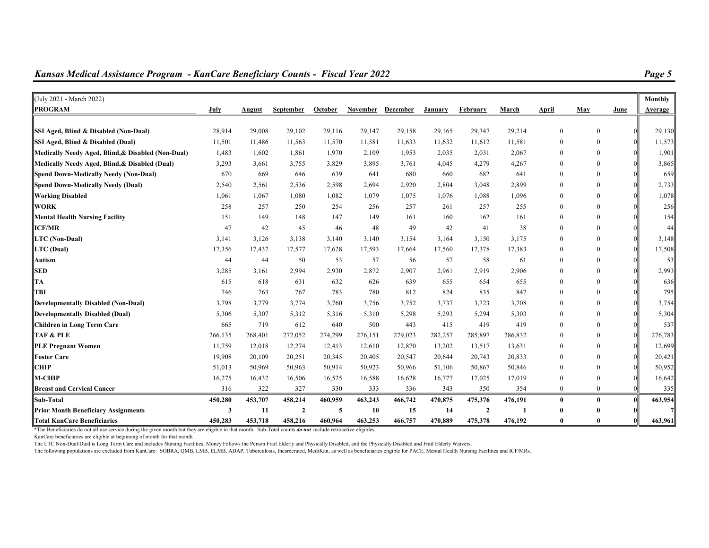| (July 2021 - March 2022)                           |         |         |                |         |                   |         |         |                |         |                |              |      | Monthly |
|----------------------------------------------------|---------|---------|----------------|---------|-------------------|---------|---------|----------------|---------|----------------|--------------|------|---------|
| <b>PROGRAM</b>                                     | July    | August  | September      | October | November December |         | January | February       | March   | April          | May          | June | Average |
|                                                    |         |         |                |         |                   |         |         |                |         |                |              |      |         |
| SSI Aged, Blind & Disabled (Non-Dual)              | 28,914  | 29,008  | 29,102         | 29,116  | 29,147            | 29,158  | 29,165  | 29,347         | 29,214  | $\mathbf{0}$   | $\theta$     |      | 29,130  |
| SSI Aged, Blind & Disabled (Dual)                  | 11,501  | 11,486  | 11,563         | 11,570  | 11,581            | 11,633  | 11,632  | 11,612         | 11,581  | $\overline{0}$ | $\Omega$     |      | 11,573  |
| Medically Needy Aged, Blind, & Disabled (Non-Dual) | 1,483   | 1,602   | 1,861          | 1,970   | 2,109             | 1,953   | 2,035   | 2,031          | 2,067   | $\overline{0}$ | $\Omega$     |      | 1,901   |
| Medically Needy Aged, Blind, & Disabled (Dual)     | 3,293   | 3,661   | 3,755          | 3,829   | 3,895             | 3,761   | 4,045   | 4,279          | 4,267   | $\theta$       | $\theta$     |      | 3,865   |
| Spend Down-Medically Needy (Non-Dual)              | 670     | 669     | 646            | 639     | 641               | 680     | 660     | 682            | 641     | $\theta$       | $\Omega$     |      | 659     |
| Spend Down-Medically Needy (Dual)                  | 2,540   | 2,561   | 2,536          | 2,598   | 2,694             | 2,920   | 2,804   | 3,048          | 2,899   | $\Omega$       |              |      | 2,733   |
| <b>Working Disabled</b>                            | 1,061   | 1,067   | 1,080          | 1,082   | 1,079             | 1,075   | 1,076   | 1,088          | 1,096   | $\Omega$       | 0            |      | 1,078   |
| <b>WORK</b>                                        | 258     | 257     | 250            | 254     | 256               | 257     | 261     | 257            | 255     | $\Omega$       | $\Omega$     |      | 256     |
| <b>Mental Health Nursing Facility</b>              | 151     | 149     | 148            | 147     | 149               | 161     | 160     | 162            | 161     | $\theta$       | $\Omega$     |      | 154     |
| <b>ICF/MR</b>                                      | 47      | 42      | 45             | 46      | 48                | 49      | 42      | 41             | 38      | $\mathbf{0}$   | $\Omega$     |      | 44      |
| LTC (Non-Dual)                                     | 3,141   | 3,126   | 3,138          | 3,140   | 3,140             | 3,154   | 3,164   | 3,150          | 3,175   | $\overline{0}$ | $\Omega$     |      | 3,148   |
| LTC (Dual)                                         | 17,356  | 17,437  | 17,577         | 17,628  | 17,593            | 17,664  | 17,560  | 17,378         | 17,383  | $\Omega$       |              |      | 17,508  |
| <b>Autism</b>                                      | 44      | 44      | 50             | 53      | 57                | 56      | 57      | 58             | 61      | $\theta$       | 0            |      | 53      |
| <b>SED</b>                                         | 3,285   | 3,161   | 2,994          | 2,930   | 2,872             | 2,907   | 2,961   | 2,919          | 2,906   | $\theta$       | $\Omega$     |      | 2,993   |
| $\ TA\ $                                           | 615     | 618     | 631            | 632     | 626               | 639     | 655     | 654            | 655     | $\theta$       | $\theta$     |      | 636     |
| TBI                                                | 746     | 763     | 767            | 783     | 780               | 812     | 824     | 835            | 847     | $\Omega$       | $\Omega$     |      | 795     |
| Developmentally Disabled (Non-Dual)                | 3,798   | 3,779   | 3,774          | 3,760   | 3,756             | 3,752   | 3,737   | 3,723          | 3,708   | $\theta$       | $\Omega$     |      | 3,754   |
| Developmentally Disabled (Dual)                    | 5,306   | 5,307   | 5,312          | 5,316   | 5,310             | 5,298   | 5,293   | 5,294          | 5,303   | $\Omega$       | 0            |      | 5,304   |
| Children in Long Term Care                         | 665     | 719     | 612            | 640     | 500               | 443     | 415     | 419            | 419     | $\Omega$       | $\Omega$     |      | 537     |
| <b>TAF &amp; PLE</b>                               | 266,135 | 268,401 | 272,052        | 274,299 | 276,151           | 279,023 | 282,257 | 285,897        | 286,832 | $\Omega$       | 0            |      | 276,783 |
| <b>PLE Pregnant Women</b>                          | 11,759  | 12,018  | 12,274         | 12,413  | 12,610            | 12,870  | 13,202  | 13,517         | 13,631  | $\theta$       | 0            |      | 12,699  |
| <b>Foster Care</b>                                 | 19,908  | 20,109  | 20,251         | 20,345  | 20,405            | 20,547  | 20,644  | 20,743         | 20,833  | $\Omega$       | $\Omega$     |      | 20,421  |
| <b>CHIP</b>                                        | 51,013  | 50,969  | 50,963         | 50,914  | 50,923            | 50,966  | 51,106  | 50,867         | 50,846  | $\theta$       | 0            |      | 50,952  |
| M-CHIP                                             | 16,275  | 16,432  | 16,506         | 16,525  | 16,588            | 16,628  | 16,777  | 17,025         | 17,019  | $\theta$       | $\theta$     |      | 16,642  |
| <b>Breast and Cervical Cancer</b>                  | 316     | 322     | 327            | 330     | 333               | 336     | 343     | 350            | 354     | $\mathbf{0}$   | $\theta$     |      | 335     |
| Sub-Total                                          | 450,280 | 453,707 | 458,214        | 460,959 | 463,243           | 466,742 | 470,875 | 475,376        | 476,191 | $\bf{0}$       | $\bf{0}$     |      | 463,954 |
| <b>Prior Month Beneficiary Assignments</b>         | 3       | 11      | $\overline{2}$ | 5       | 10                | 15      | 14      | $\overline{2}$ |         | 0              |              |      |         |
| <b>Total KanCare Beneficiaries</b>                 | 450,283 | 453,718 | 458,216        | 460.964 | 463,253           | 466,757 | 470,889 | 475,378        | 476,192 | 0              | $\mathbf{0}$ |      | 463,961 |

The Beneficiaries do not all use service during the given month but they are eligible in that month. Sub-Total counts *do not* include retroactive eligibles.

KanCare beneficiaries are eligible at beginning of month for that month.

The LTC Non-Dual/Dual is Long Term Care and includes Nursing Facilities, Money Follows the Person Frail Elderly and Physically Disabled, and the Physically Disabled and Frail Elderly Waivers.

The following populations are excluded from KanCare: SOBRA, QMB, LMB, ELMB, ADAP, Tuberculosis, Incarcerated, MediKan, as well as beneficiaries eligible for PACE, Mental Health Nursing Facilities and ICF/MRs.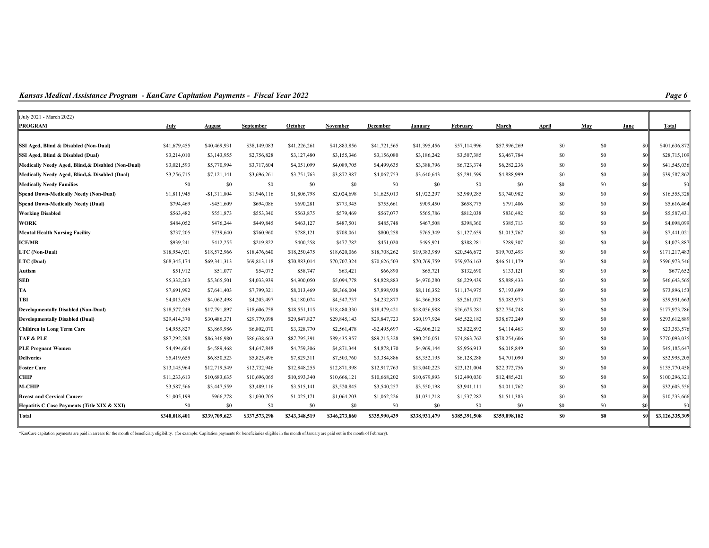Kansas Medical Assistance Program - KanCare Capitation Payments - Fiscal Year 2022

| (July 2021 - March 2022)                           |               |               |               |               |               |                 |                 |               |               |       |                |                |                 |
|----------------------------------------------------|---------------|---------------|---------------|---------------|---------------|-----------------|-----------------|---------------|---------------|-------|----------------|----------------|-----------------|
| <b>PROGRAM</b>                                     | July          | August        | September     | October       | November      | December        | January         | February      | March         | April | May            | June           | Total           |
| SSI Aged, Blind & Disabled (Non-Dual)              | \$41,679,455  | \$40,469,931  | \$38,149,083  | \$41,226,261  | \$41,883,856  | \$41,721,565    | \$41,395,456    | \$57,114,996  | \$57,996,269  | \$0   | \$0            | \$0            | \$401,636,872   |
| SSI Aged, Blind & Disabled (Dual)                  | \$3,214,010   | \$3,143,955   | \$2,756,828   | \$3,127,480   | \$3,155,346   | \$3,156,080     | \$3,186,242     | \$3,507,385   | \$3,467,784   | \$0   | \$0            | \$0            | \$28,715,109    |
| Medically Needy Aged, Blind, & Disabled (Non-Dual) | \$3,021,593   | \$5,770,994   | \$3,717,604   | \$4,051,099   | \$4,089,705   | \$4,499,635     | \$3,388,796     | \$6,723,374   | \$6,282,236   | \$0   | \$0            | <sub>\$0</sub> | \$41,545,036    |
| Medically Needy Aged, Blind, & Disabled (Dual)     | \$3,256,715   | \$7,121,141   | \$3,696,261   | \$3,751,763   | \$3,872,987   | \$4,067,753     | \$3,640,643     | \$5,291,599   | \$4,888,999   | \$0   | \$0            | <sub>\$0</sub> | \$39,587,862    |
| <b>Medically Needy Families</b>                    | \$0           | \$0           | \$0           | \$0           | \$0           | \$0             | \$0             | \$0           | \$0           | \$0   | \$0            | \$0            | \$0             |
| Spend Down-Medically Needy (Non-Dual)              | \$1,811,945   | $-$1,311,804$ | \$1,946,116   | \$1,806,798   | \$2,024,698   | \$1,625,013     | \$1,922,297     | \$2,989,285   | \$3,740,982   | \$0   | \$0            | \$0            | \$16,555,328    |
| Spend Down-Medically Needy (Dual)                  | \$794,469     | $-$ \$451,609 | \$694,086     | \$690,281     | \$773,945     | \$755,661       | \$909,450       | \$658,775     | \$791,406     | \$0   | \$0            | sol            | \$5,616,464     |
| <b>Working Disabled</b>                            | \$563,482     | \$551,873     | \$553,340     | \$563,875     | \$579,469     | \$567,077       | \$565,786       | \$812,038     | \$830,492     | \$0   | \$0            | \$0            | \$5,587,431     |
| <b>WORK</b>                                        | \$484,052     | \$476,244     | \$449,845     | \$463,127     | \$487,501     | \$485,748       | \$467,508       | \$398,360     | \$385,713     | \$0   | \$0            | <sub>\$0</sub> | \$4,098,099     |
| <b>Mental Health Nursing Facility</b>              | \$737,205     | \$739,640     | \$760,960     | \$788,121     | \$708,061     | \$800,258       | \$765,349       | \$1,127,659   | \$1,013,767   | \$0   | \$0            | <sub>\$0</sub> | \$7,441,021     |
| <b>ICF/MR</b>                                      | \$939,241     | \$412,255     | \$219,822     | \$400,258     | \$477,782     | \$451,020       | \$495,921       | \$388,281     | \$289,307     | \$0   | \$0            | sol            | \$4,073,887     |
| LTC (Non-Dual)                                     | \$18,954,921  | \$18,572,966  | \$18,476,640  | \$18,250,475  | \$18,620,066  | \$18,708,262    | \$19,383,989    | \$20,546,672  | \$19,703,493  | \$0\$ | \$0            | <sub>so</sub>  | \$171,217,483   |
| LTC (Dual)                                         | \$68,345,174  | \$69,341,313  | \$69,813,118  | \$70,883,014  | \$70,707,324  | \$70,626,503    | \$70,769,759    | \$59,976,163  | \$46,511,179  | \$0   | \$0            | <sub>\$0</sub> | \$596,973,546   |
| Autism                                             | \$51,912      | \$51,077      | \$54,072      | \$58,747      | \$63,421      | \$66,890        | \$65,721        | \$132,690     | \$133,121     | \$0   | \$0            | <sub>\$0</sub> | \$677,652       |
| <b>SED</b>                                         | \$5,332,263   | \$5,365,501   | \$4,033,939   | \$4,900,050   | \$5,094,778   | \$4,828,883     | \$4,970,280     | \$6,229,439   | \$5,888,433   | \$0   | \$0            | sol            | \$46,643,565    |
| TA                                                 | \$7,691,992   | \$7,641,403   | \$7,799,321   | \$8,013,469   | \$8,366,004   | \$7,898,938     | \$8,116,352     | \$11,174,975  | \$7,193,699   | \$0   | \$0            | \$0            | \$73,896,153    |
| TBI                                                | \$4,013,629   | \$4,062,498   | \$4,203,497   | \$4,180,074   | \$4,547,737   | \$4,232,877     | \$4,366,308     | \$5,261,072   | \$5,083,973   | \$0   | \$0            | \$0            | \$39,951,663    |
| Developmentally Disabled (Non-Dual)                | \$18,577,249  | \$17,791,897  | \$18,606,758  | \$18,551,115  | \$18,480,330  | \$18,479,421    | \$18,056,988    | \$26,675,281  | \$22,754,748  | \$0   | \$0            | <sub>\$0</sub> | \$177,973,786   |
| Developmentally Disabled (Dual)                    | \$29,414,370  | \$30,486,371  | \$29,779,098  | \$29,847,827  | \$29,845,143  | \$29,847,723    | \$30,197,924    | \$45,522,182  | \$38,672,249  | \$0   | \$0            | <sub>\$0</sub> | \$293,612,889   |
| Children in Long Term Care                         | \$4,955,827   | \$3,869,986   | \$6,802,070   | \$3,328,770   | \$2,561,478   | $-$ \$2,495,697 | $-$ \$2,606,212 | \$2,822,892   | \$4,114,463   | \$0   | \$0            | <sub>\$0</sub> | \$23,353,576    |
| TAF & PLE                                          | \$87,292,298  | \$86,346,980  | \$86,638,663  | \$87,795,391  | \$89,435,957  | \$89,215,328    | \$90,250,051    | \$74,863,762  | \$78,254,606  | \$0   | \$0            | <sub>\$0</sub> | \$770,093,035   |
| <b>PLE Pregnant Women</b>                          | \$4,494,604   | \$4,589,468   | \$4,647,848   | \$4,759,306   | \$4,871,344   | \$4,878,170     | \$4,969,144     | \$5,956,913   | \$6,018,849   | \$0   | \$0            | \$0            | \$45,185,647    |
| <b>Deliveries</b>                                  | \$5,419,655   | \$6,850,523   | \$5,825,496   | \$7,829,311   | \$7,503,760   | \$3,384,886     | \$5,352,195     | \$6,128,288   | \$4,701,090   | \$0   | \$0            | <sub>\$0</sub> | \$52,995,205    |
| <b>Foster Care</b>                                 | \$13,145,964  | \$12,719,549  | \$12,732,946  | \$12,848,255  | \$12,871,998  | \$12,917,763    | \$13,040,223    | \$23,121,004  | \$22,372,756  | $\$0$ | \$0            | <sub>\$0</sub> | \$135,770,458   |
| <b>CHIP</b>                                        | \$11,233,613  | \$10,683,635  | \$10,696,065  | \$10,693,340  | \$10,666,121  | \$10,668,202    | \$10,679,893    | \$12,490,030  | \$12,485,421  | \$0   | \$0            | <sub>\$0</sub> | \$100,296,321   |
| M-CHIP                                             | \$3,587,566   | \$3,447,559   | \$3,489,116   | \$3,515,141   | \$3,520,845   | \$3,540,257     | \$3,550,198     | \$3,941,111   | \$4,011,762   | \$0   | \$0            | <sub>so</sub>  | \$32,603,556    |
| Breast and Cervical Cancer!                        | \$1,005,199   | \$966,278     | \$1,030,705   | \$1,025,171   | \$1,064,203   | \$1,062,226     | \$1,031,218     | \$1,537,282   | \$1,511,383   | \$0   | \$0            | <sub>\$0</sub> | \$10,233,666    |
| Hepatitis C Case Payments (Title XIX & XXI)        | \$0           | \$0           | \$0           | \$0           | \$0           | \$0             | \$0             | \$0           | \$0           | \$0   | \$0            | <sub>SO</sub>  | \$0             |
| Total                                              | \$340,018,401 | \$339,709,623 | \$337,573,298 | \$343,348,519 | \$346,273,860 | \$335,990,439   | \$338,931,479   | \$385,391,508 | \$359,098,182 | \$0   | S <sub>0</sub> | \$0            | \$3,126,335,309 |

\*KanCare capitation payments are paid in arrears for the month of beneficiary eligibility. (for example: Capitation payments for beneficiaries eligible in the month of January are paid out in the month of February).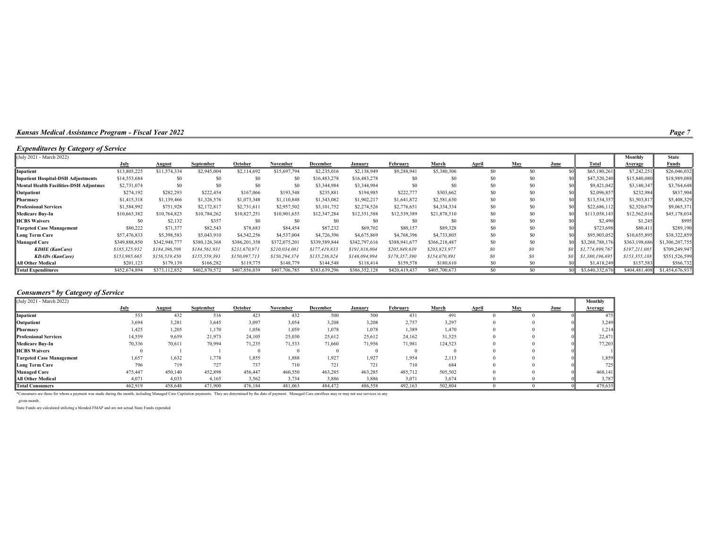### Expenditures by Category of Service

| (July 2021 - March 2022)                  |               |               |               |                |               |               |                |               |                |       |                |       |                 | Monthly       | <b>State</b>    |
|-------------------------------------------|---------------|---------------|---------------|----------------|---------------|---------------|----------------|---------------|----------------|-------|----------------|-------|-----------------|---------------|-----------------|
|                                           | July          | <u>August</u> | September     | October        | November      | December      | January        | February      | March          | April | May            | June  | <b>Total</b>    | Average       | <b>Funds</b>    |
| Inpatient                                 | \$13,805,225  | \$11,574,334  | \$2,945,004   | \$2,114,692    | \$15,697,794  | \$2,235,016   | \$2,138,949    | \$9,288,941   | \$5,380,306    | \$0   | S <sub>0</sub> |       | \$65,180,261    | \$7,242,251   | \$26,046,032    |
| <b>Inpatient Hospital-DSH Adjustments</b> | \$14,553,684  | \$0           | \$C           | S <sub>0</sub> | \$0           | \$16,483,278  | \$16,483,278   | \$0           | \$0            | \$0   | \$0            |       | \$47,520,240    | \$15,840,080  | \$18,989,088    |
| Mental Health Facilities-DSH Adjustmer    | \$2,731,074   | \$0           | \$C           | S <sub>0</sub> | SO.           | \$3,344,984   | \$3,344,984    | \$0           | \$0            | \$0   | \$0            |       | \$9,421,042     | \$3,140,347   | \$3,764,648     |
| Outpatient                                | \$274,192     | \$282,293     | \$222,454     | \$167,066      | \$193,548     | \$235,881     | \$194,985      | \$222,777     | \$303,662      | \$0   | \$0            |       | \$2,096,857     | \$232,984     | \$837,904       |
| Pharmacy                                  | \$1,415,318   | \$1,139,466   | \$1,326,576   | \$1,073,348    | \$1,110,848   | \$1,343,082   | \$1,902,217    | \$1,641,872   | \$2,581,630    | \$0   | \$0            |       | \$13,534,357    | \$1,503,817   | \$5,408,329     |
| Professional Services                     | \$1,584,992   | \$751,928     | \$2,172,817   | \$2,731,611    | \$2,957,502   | \$3,101,752   | \$2,274,526    | \$2,776,651   | \$4,334,334    |       | \$0            |       | \$22,686,112    | \$2,520,679   | \$9,065,371     |
| <b>Medicare Buy-In</b>                    | \$10,663,382  | \$10,764,823  | \$10,784,262  | \$10,827,251   | \$10,901,655  | \$12,347,284  | \$12,351,588   | \$12,539,389  | \$21,878,510   |       | \$0            |       | \$113,058,143   | \$12,562,016  | \$45,178,034    |
| <b>HCBS Waivers</b>                       | SO.           | \$2,132       | \$357         | S <sub>0</sub> | S0            | \$0           | S <sub>0</sub> |               | S <sub>0</sub> | \$0   | \$0            |       | \$2,490         | \$1,245       | \$995           |
| <b>Targeted Case Management</b>           | \$80,222      | \$71,377      | \$82,543      | \$78,683       | \$84,454      | \$87,232      | \$69,702       | \$80,157      | \$89,328       | \$0   | \$0            |       | \$723,698       | \$80,411      | \$289,190       |
| Long Term Care                            | \$57,476,833  | \$5,398,583   | \$5,043,910   | \$4,542,256    | \$4,537,004   | \$4,726,396   | \$4,675,869    | \$4,768,396   | \$4,733,805    | \$0   | \$0            |       | \$95,903,052    | \$10,655,895  | \$38,322,859    |
| <b>Managed Care</b>                       | \$349,888,850 | \$342,948,77  | \$380,126,368 | \$386,201,358  | \$372,075,201 | \$339,589,844 | \$342,797,616  | \$388,941,677 | \$366,218,487  |       | \$0            |       | \$3,268,788,176 | \$363,198,686 | \$1,306,207,755 |
| <b>KDHE</b> (KanCare)                     | \$185,325,932 | \$184,396,598 | \$184,561,931 | \$231,670,97   | \$210,034,081 | \$177.419.833 | \$191,816,804  | \$205,849,639 | \$203,823,977  | \$0\$ | SO             | SO IL | \$1,774,899,767 | \$197,211,085 | \$709,249,947   |
| <b>KDADs</b> (KanCare)                    | \$153,965,665 | \$156.519.450 | 8155.559.393  | \$150,097,713  | \$150,294,374 | \$135,236,824 | \$146,094,994  | \$178,357,390 | \$154,070,891  | \$0\$ | 80             | SO IL | \$1,380,196,695 | \$153,355,188 | \$551,526,599   |
| All Other Medical                         | \$201,123     | \$179,139     | \$166,282     | \$119,775      | \$148,779     | \$144,548     | \$118,414      | \$159,578     | \$180,610      |       |                |       | \$1,418,249     | \$157,583     | \$566,732       |
| <b>Total Expenditures</b>                 | \$452,674,894 | \$373,112,852 | \$402,870,572 | \$407,856,039  | \$407,706,785 | \$383,639,296 | \$386,352,128  | \$420,419,437 | \$405,700,673  |       |                | soll  | \$3,640,332,676 | \$404,481,408 | \$1,454,676,937 |

### Consumers\* by Category of Service

| (July 2021 - March 2022)        |         |         |           |         |          |          |         |          |         |       |     |      | Monthly |
|---------------------------------|---------|---------|-----------|---------|----------|----------|---------|----------|---------|-------|-----|------|---------|
|                                 | July    | August  | September | October | November | December | January | February | March   | April | May | June | Average |
| Inpatient                       | 553     | 432     | 516       | 423     | 432      | 500      | 500     | 431      | 491     |       |     |      | 475     |
| Outpatient                      | 3,694   | 3,281   | 3,645     | 3,097   | 3,054    | 3.208    | 3,208   | 2,757    | 3,297   |       |     |      | 3,249   |
| Pharmacy                        | 1,425   | 1,205   | 1,170     | 1,056   | 1,059    | 1,078    | 1,078   | 1,389    | 1,470   |       |     |      | 1,214   |
| <b>Professional Services</b>    | 14,559  | 9,659   | 21,973    | 24,105  | 25,030   | 25,612   | 25,612  | 24,162   | 31,525  |       |     |      | 22,471  |
| <b>Medicare Buy-In</b>          | 70,336  | 70,611  | 70,994    | 71,235  | 71,533   | 71,660   | 71,956  | 71,981   | 124,523 |       |     |      | 77,203  |
| <b>HCBS</b> Waivers             |         |         |           |         |          |          |         |          |         |       |     |      |         |
| <b>Targeted Case Management</b> | 1,657   | 1,632   | 1,778     | 1,855   | 1,888    | 1,927    | 1,927   | 1.954    | 2,113   |       |     |      | 1,859   |
| <b>Long Term Care</b>           | 796     | 719     | 727       | 737     | 710      | 721      | 721     | 710      | 684     |       |     |      | 725     |
| <b>Managed Care</b>             | 475,447 | 450,140 | 452,898   | 456,447 | 460,550  | 463,285  | 463,285 | 485,712  | 505,502 |       |     |      | 468,141 |
| <b>All Other Medical</b>        | 4,071   | 4,033   | 4,165     | 3,562   | 3,734    | 3,886    | 3,886   | 3,071    | 3,674   |       |     |      | 3,787   |
| <b>Total Consumers</b>          | 462,919 | 458,648 | 471,900   | 476,184 | 481,063  | 484,472  | 486,558 | 492,163  | 502,804 |       |     |      | 479,635 |

\*Consumers are those for whom a payment was made during the month, including Managed Care Capitation payments. They are determined by the date of payment. Managed Care enrollees may or may not use services in any

given month.

State Funds are calculated utilizing a blended FMAP and are not actual State Funds expended

Page 7